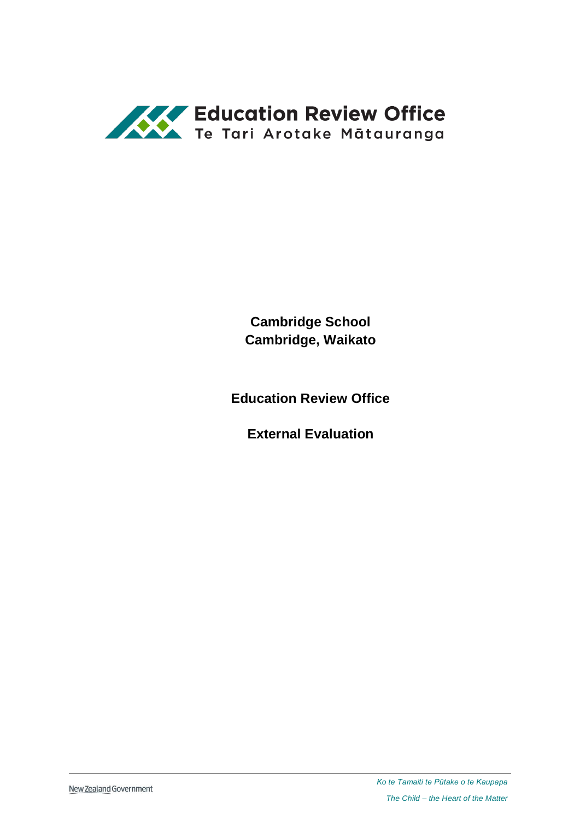

**Cambridge School Cambridge, Waikato**

**Education Review Office**

**External Evaluation**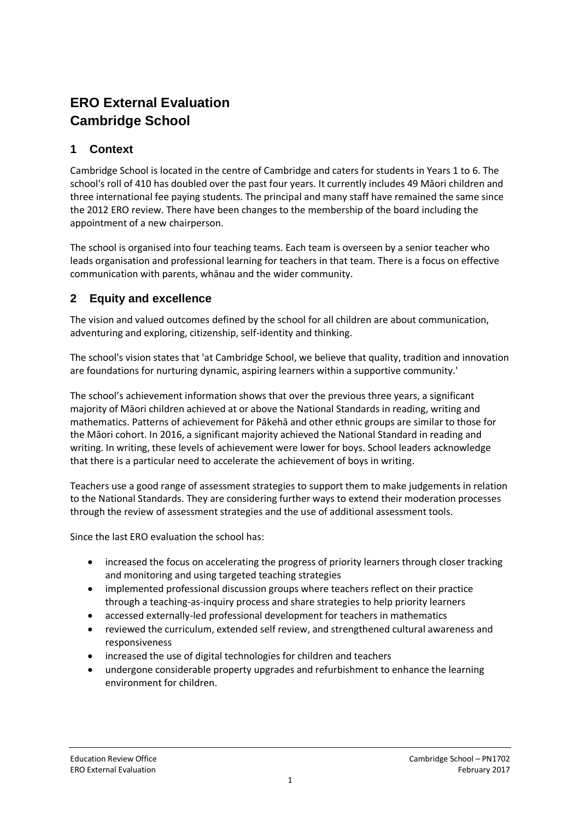# **ERO External Evaluation Cambridge School**

# **1 Context**

Cambridge School is located in the centre of Cambridge and caters for students in Years 1 to 6. The school's roll of 410 has doubled over the past four years. It currently includes 49 Māori children and three international fee paying students. The principal and many staff have remained the same since the 2012 ERO review. There have been changes to the membership of the board including the appointment of a new chairperson.

The school is organised into four teaching teams. Each team is overseen by a senior teacher who leads organisation and professional learning for teachers in that team. There is a focus on effective communication with parents, whānau and the wider community.

# **2 Equity and excellence**

The vision and valued outcomes defined by the school for all children are about communication, adventuring and exploring, citizenship, self-identity and thinking.

The school's vision states that 'at Cambridge School, we believe that quality, tradition and innovation are foundations for nurturing dynamic, aspiring learners within a supportive community.'

The school's achievement information shows that over the previous three years, a significant majority of Māori children achieved at or above the National Standards in reading, writing and mathematics. Patterns of achievement for Pākehā and other ethnic groups are similar to those for the Māori cohort. In 2016, a significant majority achieved the National Standard in reading and writing. In writing, these levels of achievement were lower for boys. School leaders acknowledge that there is a particular need to accelerate the achievement of boys in writing.

Teachers use a good range of assessment strategies to support them to make judgements in relation to the National Standards. They are considering further ways to extend their moderation processes through the review of assessment strategies and the use of additional assessment tools.

Since the last ERO evaluation the school has:

- increased the focus on accelerating the progress of priority learners through closer tracking and monitoring and using targeted teaching strategies
- implemented professional discussion groups where teachers reflect on their practice through a teaching-as-inquiry process and share strategies to help priority learners
- accessed externally-led professional development for teachers in mathematics
- reviewed the curriculum, extended self review, and strengthened cultural awareness and responsiveness
- increased the use of digital technologies for children and teachers
- undergone considerable property upgrades and refurbishment to enhance the learning environment for children.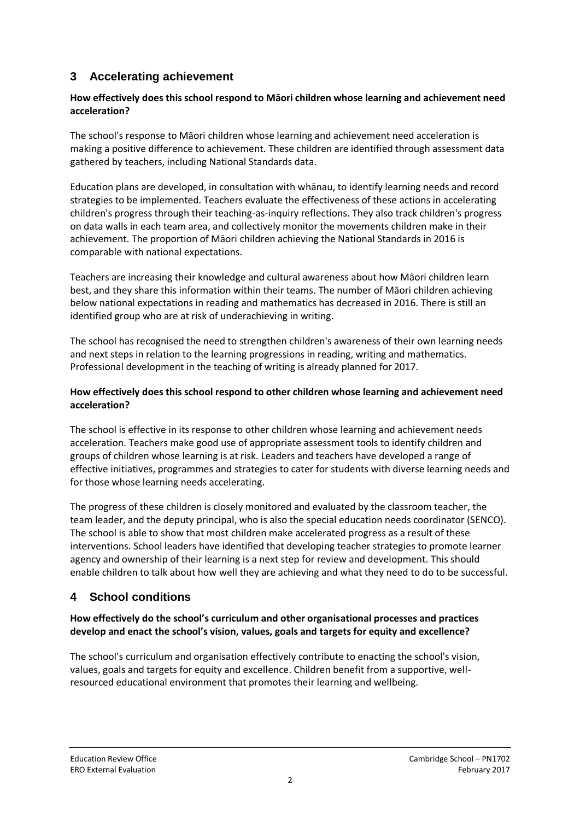# **3 Accelerating achievement**

#### **How effectively does this school respond to Māori children whose learning and achievement need acceleration?**

The school's response to Māori children whose learning and achievement need acceleration is making a positive difference to achievement. These children are identified through assessment data gathered by teachers, including National Standards data.

Education plans are developed, in consultation with whānau, to identify learning needs and record strategies to be implemented. Teachers evaluate the effectiveness of these actions in accelerating children's progress through their teaching-as-inquiry reflections. They also track children's progress on data walls in each team area, and collectively monitor the movements children make in their achievement. The proportion of Māori children achieving the National Standards in 2016 is comparable with national expectations.

Teachers are increasing their knowledge and cultural awareness about how Māori children learn best, and they share this information within their teams. The number of Māori children achieving below national expectations in reading and mathematics has decreased in 2016. There is still an identified group who are at risk of underachieving in writing.

The school has recognised the need to strengthen children's awareness of their own learning needs and next steps in relation to the learning progressions in reading, writing and mathematics. Professional development in the teaching of writing is already planned for 2017.

#### **How effectively does this school respond to other children whose learning and achievement need acceleration?**

The school is effective in its response to other children whose learning and achievement needs acceleration. Teachers make good use of appropriate assessment tools to identify children and groups of children whose learning is at risk. Leaders and teachers have developed a range of effective initiatives, programmes and strategies to cater for students with diverse learning needs and for those whose learning needs accelerating.

The progress of these children is closely monitored and evaluated by the classroom teacher, the team leader, and the deputy principal, who is also the special education needs coordinator (SENCO). The school is able to show that most children make accelerated progress as a result of these interventions. School leaders have identified that developing teacher strategies to promote learner agency and ownership of their learning is a next step for review and development. This should enable children to talk about how well they are achieving and what they need to do to be successful.

# **4 School conditions**

#### **How effectively do the school's curriculum and other organisational processes and practices develop and enact the school's vision, values, goals and targets for equity and excellence?**

The school's curriculum and organisation effectively contribute to enacting the school's vision, values, goals and targets for equity and excellence. Children benefit from a supportive, wellresourced educational environment that promotes their learning and wellbeing.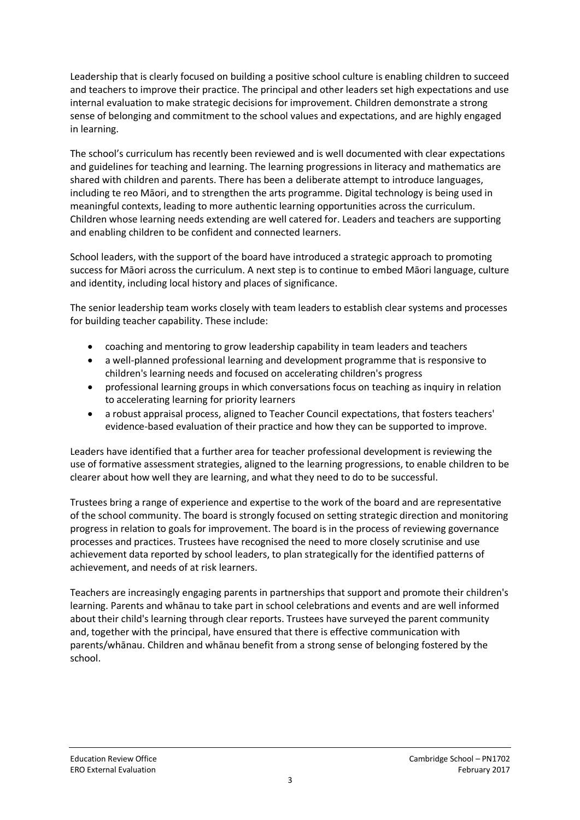Leadership that is clearly focused on building a positive school culture is enabling children to succeed and teachers to improve their practice. The principal and other leaders set high expectations and use internal evaluation to make strategic decisions for improvement. Children demonstrate a strong sense of belonging and commitment to the school values and expectations, and are highly engaged in learning.

The school's curriculum has recently been reviewed and is well documented with clear expectations and guidelines for teaching and learning. The learning progressions in literacy and mathematics are shared with children and parents. There has been a deliberate attempt to introduce languages, including te reo Māori, and to strengthen the arts programme. Digital technology is being used in meaningful contexts, leading to more authentic learning opportunities across the curriculum. Children whose learning needs extending are well catered for. Leaders and teachers are supporting and enabling children to be confident and connected learners.

School leaders, with the support of the board have introduced a strategic approach to promoting success for Māori across the curriculum. A next step is to continue to embed Māori language, culture and identity, including local history and places of significance.

The senior leadership team works closely with team leaders to establish clear systems and processes for building teacher capability. These include:

- coaching and mentoring to grow leadership capability in team leaders and teachers
- a well-planned professional learning and development programme that is responsive to children's learning needs and focused on accelerating children's progress
- professional learning groups in which conversations focus on teaching as inquiry in relation to accelerating learning for priority learners
- a robust appraisal process, aligned to Teacher Council expectations, that fosters teachers' evidence-based evaluation of their practice and how they can be supported to improve.

Leaders have identified that a further area for teacher professional development is reviewing the use of formative assessment strategies, aligned to the learning progressions, to enable children to be clearer about how well they are learning, and what they need to do to be successful.

Trustees bring a range of experience and expertise to the work of the board and are representative of the school community. The board is strongly focused on setting strategic direction and monitoring progress in relation to goals for improvement. The board is in the process of reviewing governance processes and practices. Trustees have recognised the need to more closely scrutinise and use achievement data reported by school leaders, to plan strategically for the identified patterns of achievement, and needs of at risk learners.

Teachers are increasingly engaging parents in partnerships that support and promote their children's learning. Parents and whānau to take part in school celebrations and events and are well informed about their child's learning through clear reports. Trustees have surveyed the parent community and, together with the principal, have ensured that there is effective communication with parents/whānau. Children and whānau benefit from a strong sense of belonging fostered by the school.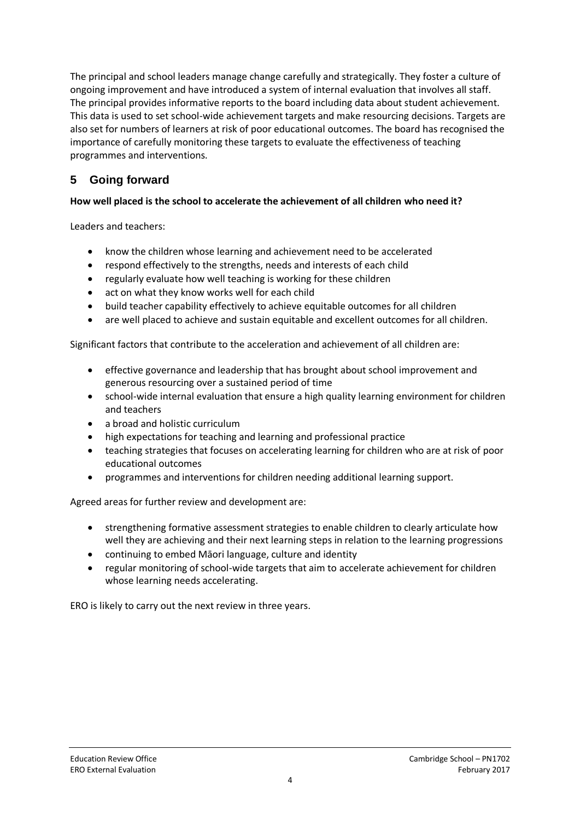The principal and school leaders manage change carefully and strategically. They foster a culture of ongoing improvement and have introduced a system of internal evaluation that involves all staff. The principal provides informative reports to the board including data about student achievement. This data is used to set school-wide achievement targets and make resourcing decisions. Targets are also set for numbers of learners at risk of poor educational outcomes. The board has recognised the importance of carefully monitoring these targets to evaluate the effectiveness of teaching programmes and interventions.

# **5 Going forward**

#### **How well placed is the school to accelerate the achievement of all children who need it?**

Leaders and teachers:

- know the children whose learning and achievement need to be accelerated
- respond effectively to the strengths, needs and interests of each child
- regularly evaluate how well teaching is working for these children
- act on what they know works well for each child
- build teacher capability effectively to achieve equitable outcomes for all children
- are well placed to achieve and sustain equitable and excellent outcomes for all children.

Significant factors that contribute to the acceleration and achievement of all children are:

- effective governance and leadership that has brought about school improvement and generous resourcing over a sustained period of time
- school-wide internal evaluation that ensure a high quality learning environment for children and teachers
- a broad and holistic curriculum
- high expectations for teaching and learning and professional practice
- teaching strategies that focuses on accelerating learning for children who are at risk of poor educational outcomes
- programmes and interventions for children needing additional learning support.

Agreed areas for further review and development are:

- strengthening formative assessment strategies to enable children to clearly articulate how well they are achieving and their next learning steps in relation to the learning progressions
- continuing to embed Māori language, culture and identity
- regular monitoring of school-wide targets that aim to accelerate achievement for children whose learning needs accelerating.

ERO is likely to carry out the next review in three years.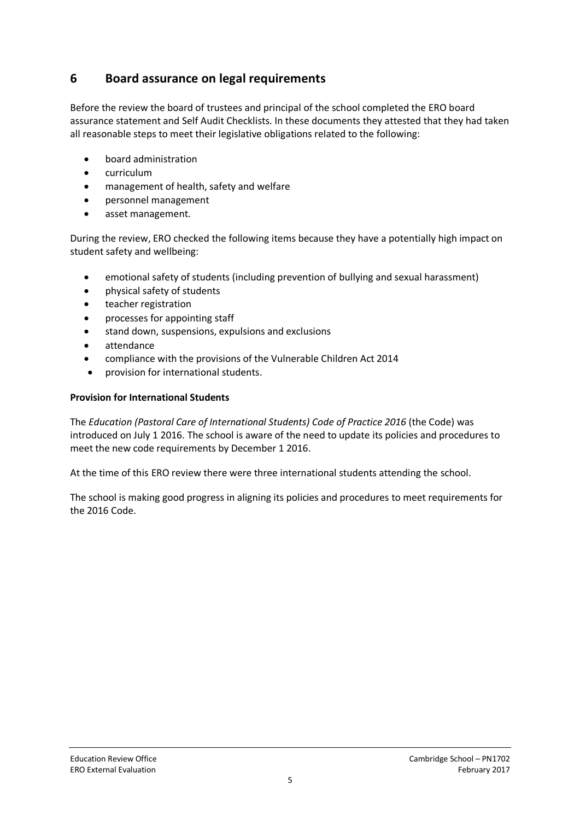# **6 Board assurance on legal requirements**

Before the review the board of trustees and principal of the school completed the ERO board assurance statement and Self Audit Checklists. In these documents they attested that they had taken all reasonable steps to meet their legislative obligations related to the following:

- board administration
- curriculum
- management of health, safety and welfare
- personnel management
- asset management.

During the review, ERO checked the following items because they have a potentially high impact on student safety and wellbeing:

- emotional safety of students (including prevention of bullying and sexual harassment)
- physical safety of students
- teacher registration
- processes for appointing staff
- stand down, suspensions, expulsions and exclusions
- attendance
- compliance with the provisions of the Vulnerable Children Act 2014
- provision for international students.

#### **Provision for International Students**

The *Education (Pastoral Care of International Students) Code of Practice 2016* (the Code) was introduced on July 1 2016. The school is aware of the need to update its policies and procedures to meet the new code requirements by December 1 2016.

At the time of this ERO review there were three international students attending the school.

The school is making good progress in aligning its policies and procedures to meet requirements for the 2016 Code.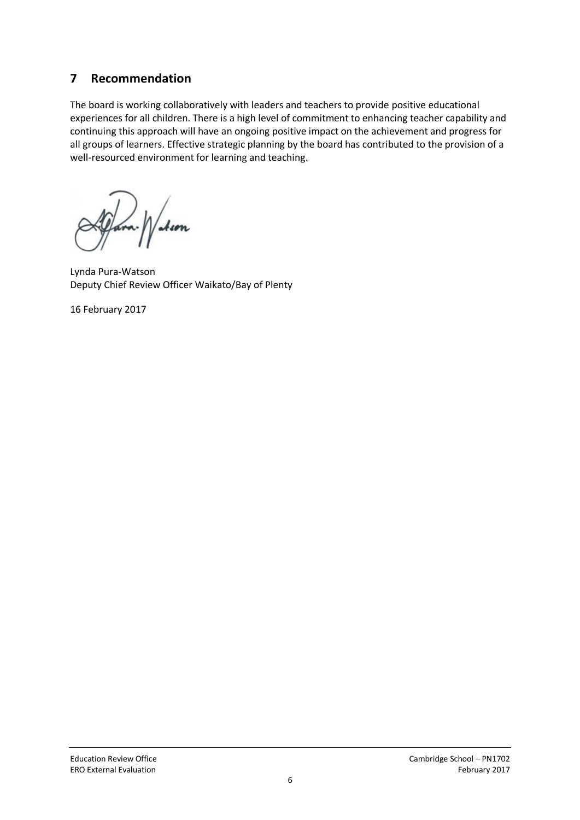# **7 Recommendation**

The board is working collaboratively with leaders and teachers to provide positive educational experiences for all children. There is a high level of commitment to enhancing teacher capability and continuing this approach will have an ongoing positive impact on the achievement and progress for all groups of learners. Effective strategic planning by the board has contributed to the provision of a well-resourced environment for learning and teaching.

Acon

Lynda Pura-Watson Deputy Chief Review Officer Waikato/Bay of Plenty

16 February 2017